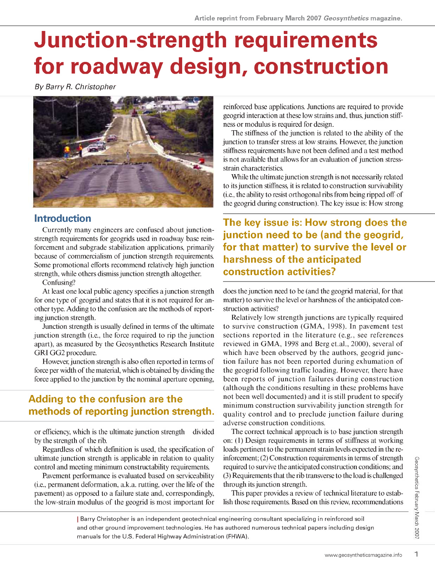# **Junction-strength requirements for roadway design, construction**

*By Barry R. Christopher* 



### **Introduction**

Currently many engineers are confused about junctionstrength requirements for geogrids used in roadway base reinforcement and subgrade stabilization applications, primarily because of commercialism of junction strength requirements. Some promotional efforts recommend relatively high junction strength, while others dismiss jimction strength altogether.

Confusing?

At least one local public agency specifies a jimction strength for one type of geogrid and states that it is not required for another type. Adding to the confusion are the methods of reporting jimction strength.

Junction strength is usually defined in terms of the ultimate jimction strength (i.e., the force required to rip the junction apart), as measured by the Geosynthetics Research Institute GRI GG2 procedure.

However, junction strength is also often reported in terms of force per width of the material, which is obtained by dividing the force applied to the junction by the nominal aperture opening,

## **Adding to the confusion are the methods of reporting junction strength.**

or efficiency, which is the ultimate jimction strength divided by the strength of the rib.

Regardless of which definition is used, the specification of ultimate junction strength is applicable in relation to quality control and meeting minimum constructability requirements.

Pavement performance is evaluated based on serviceability (i.e., permanent deformation, a.k.a. rutting, over the life of the pavement) as opposed to a failure state and, correspondingly, the low-strain modulus of the geogrid is most important for reinforced base applications. Junctions are required to provide geogrid interaction at these low strains and, thus, jimction stiffness or modulus is required for design.

The stiffness of the junction is related to the ability of the junction to transfer stress at low strains. However, the junction stiffness requirements have not been defined and a test method is not available that allows for an evaluation of jimction stressstrain characteristics.

While the ultimate junction strength is not necessarily related to its jimction stiffness, it is related to construction survivability (i.e., the ability to resist orthogonal ribs from being ripped off of the geogrid during construction). The key issue is: How strong

**The key issue is: How strong does the junction need to be (and the geogrid, for that matter) to survive the level or harshness of the anticipated construction activities?** 

does the junction need to be (and the geogrid material, for that matter) to survive the level or harshness of the anticipated construction activities?

Relatively low strength junctions are typically required to survive construction (GMA, 1998). In pavement test sections reported in the literature (e.g., see references reviewed in GMA, 1998 and Berg et.al., 2000), several of which have been observed by the authors, geogrid junction failure has not been reported during exhumation of the geogrid following traffic loading. However, there have been reports of junction failures during construction (although the conditions resulting in these problems have not been well documented) and it is still prudent to specify minimum construction survivability junction strength for quality control and to preclude junction failure during adverse construction conditions.

The correct technical approach is to base junction strength on: (1) Design requirements in terms of stiffness at working loads pertinent to the permanent strain levels expected in the reinforcement;  $(2)$  Construction requirements in terms of strength required to survive the anticipated construction conditions; and minimum construction survivability junction strength for<br>quality control and to preclude junction failure during<br>adverse construction conditions.<br>The correct technical approach is to base junction strength<br>on: (1) Design adverse construction conditions.<br>
The correct technical approach is to base junction strength<br>
on: (1) Design requirements in terms of stiffness at working<br>
loads pertinent to the permanent strain levels expected in the r

This paper provides a review of technical literature to establish those requirements. Based on this review, recommendations

| Barry Christopher is an independent geotechnical engineering Consultant specializing in reinforced soil and other ground improvement technologies. He has authored numerous technical papers including design manuals for the U.S. Federal Highway Administration (FHWA).

Geosynthetics February March 2007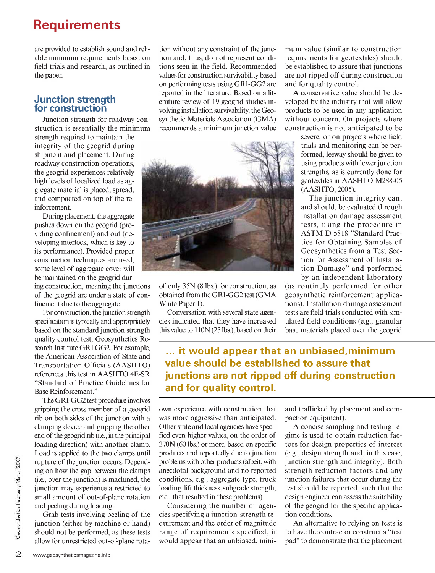## **Requirements**

are provided to establish sound and reliable minimum requirements based on field trials and research, as outlined in the paper.

#### **Junction strength for construction**

Junction strength for roadway construction is essentially the minimum strength required to maintain the integrity of the geogrid during shipment and placement. During roadway construction operations, the geogrid experiences relatively high levels of localized load as aggregate material is placed, spread, and compacted on top of the reinforcement.

During placement, the aggregate pushes down on the geogrid (providing confinement) and out (developing interlock, which is key to its performance). Provided proper construction techniques are used, some level of aggregate cover will be maintained on the geogrid dur-

ing construction, meaning the junctions of the geogrid are under a State of confinement due to the aggregate.

For construction, the junction strength specification is typically and appropriately based on the standard junction strength quality control test, Geosynthetics Research Institute GRI GG2. For example, the American Association of State and Transportation Officials (AASHTO) references this test in AASHTO 4E-SR "Standard of Practice Guidelines for Base Reinforcement."

The GRI-GG2 test procedura involves gripping the cross member of a geogrid rib on both sides of the jimction with a clamping device and gripping the other end of the geogrid rib (i.e., in the principal loading direction) with another clamp. Load is applied to the two clamps until rupture of the jimction occurs. Depending on how the gap between the clamps (i.e., over the jimction) is machined, the jimction may experience a restricted to small amount of out-of-plane rotation and peeling during loading.

Grab tests involving peeling of the junction (either by machine or hand) should not be performed, as these tests allow for unrestricted out-of-plane rota-

tion without any constraint of the junction and, thus, do not represent conditions seen in the field. Recommended values for construction survivability based on performing tests using GRI-GG2 are reported in the literature. Based on a literature review of 19 geogrid studies involving installation survivability, the Geosynthetic Materials Association (GMA) recommends a minimum junction value



of only 35N (8 lbs.) for construction, as obtained from the GRI-GG2 test (GMA White Paper 1).

Conversation with several state agencies indicated that they have increased this value to 1 ION (25 lbs.), based on their mum value (similar to construction requirements for geotextiles) should be established to assure that junctions are not ripped off during construction and for quality control.

A conservative value should be developed by the industry that will allow products to be used in any application without concern. On projects where construction is not anticipated to be

> severe, or on projects where field trials and monitoring can be performed, leeway should be given to using products with lower junction strengths, as is currently done for geotextiles in AASHTO M288-05 ( AASHTO, 2005).

> The junction integrity can, and should, be evaluated through installation damage assessment tests, using the procedure in ASTM D 5818 "Standard Practice for Obtaining Samples of Geosynthetics from a Test Section for Assessment of Installation Damage" and performed by an independent laboratory

(as routinely performed for other geosynthetic reinforcement applications). Installation damage assessment tests are field trials conducted with simulated field conditions (e.g., granulär base materials placed over the geogrid

**... it would appear that an unbiased,minimum value should be established to assure that junctions are not ripped off during construction and for quality control.** 

own experience with construction that was more aggressive than anticipated. Other state and local agencies have specified even higher values, on the order of 270N (60 lbs.) or more, based on specific products and reportedly due to jimction Problems with other products (albeit, with anecdotal background and no reported conditions, e.g., aggregate type, truck loading, lift thickness, subgrade strength, etc., that resulted in these problems).

Considering the number of agencies specifying a junction-strength requirement and the order of magnitude range of requirements specified, it would appear that an unbiased, miniand trafficked by placement and compaction equipment).

A concise sampling and testing regime is used to obtain reduction factors for design properties of interest (e.g., design strength and, in this case, junction strength and integrity). Both strength reduction factors and any jimction failures that occur during the test should be reported, such that the design engineer can assess the suitability of the geogrid for the specific application conditions.

An alternative to relying on tests is to have the contractor construct a "test päd" to demonstrate that the placement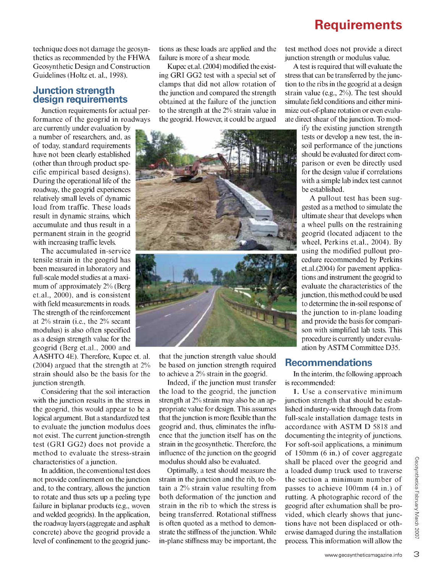technique does not damage the geosynthetics as recommended by the FHWA Geosynthetic Design and Construction Guidelines (Holtz et. al., 1998).

#### **Junction strength design requirements**

Junction requirements for actual performance of the geogrid in roadways

result in dynamic strains, which accumulate and thus result in a permanent strain in the geogrid with increasing traffic levels. are currently under evaluation by a number of researchers, and, as of today, Standard requirements have not been clearly established (other than through product specific empirical based designs). During the operational life of the roadway, the geogrid experiences relatively small levels of dynamic load from traffic. These loads

The accumulated in-service tensile strain in the geogrid has been measured in laboratory and fiül-scale model studies at a maximum of approximately 2% (Berg et.al., 2000), and is consistent with field measurements in roads. The strength of the reinforcement at 2% strain (i.e., the 2% secant modulus) is also often specified as a design strength value for the geogrid (Berg et.al., 2000 and

AASHTO 4E). Therefore, Kupec et. al. (2004) argued that the strength at 2% strain should also be the basis for the junction strength.

Considering that the soil interaction with the junction results in the stress in the geogrid, this would appear to be a logical argument. But a standardized test to evaluate the junction modulus does not exist. The current junction-strength test (GRI GG2) does not provide a method to evaluate the stress-strain characteristics of a junction.

In addition, the conventional test does not provide confmement on the junction and, to the contrary, allows the junction to rotate and thus sets up a peeling type failure in biplanar products (e.g., woven and welded geogrids). In the application, the roadway layers (aggregate and asphalt concrete) above the geogrid provide a level of confmement to the geogrid junc-

tions as these loads are applied and the failure is more of a shear mode.

Kupec et.al. (2004) modified the existing GRI GG2 test with a special set of clamps that did not allow rotation of the junction and compared the strength obtained at the failure of the junction to the strength at the 2% strain value in the geogrid. However, it could be argued



that the junction strength value should be based on junction strength required to achieve a 2% strain in the geogrid.

Indeed, if the jimction must transfer the load to the geogrid, the junction strength at 2% strain may also be an appropriate value for design. This assumes that the junction is more flexible than the geogrid and, thus, eliminates the influence that the junction itself has on the strain in the geosynthetic. Therefore, the influence of the jimction on the geogrid modulus should also be evaluated.

Optimally, a test should measure the strain in the junction and the rib, to obtain a 2% strain value resulting from both deformation of the junction and strain in the rib to which the stress is being transferred. Rotational stiffness is often quoted as a method to demonstrate the stiffness of the junction. While in-plane stiffness may be important, the

## **Requirements**

test method does not provide a direct junction strength or modulus value.

A test is required that will evaluate the stress that can be transferred by the junction to the ribs in the geogrid at a design strain value (e.g., 2%). The test should simulate field conditions and either minimize out-of-plane rotation or even evaluate direct shear of the junction. To mod-

> ify the existing junction strength tests or develop a new test, the insoil performance of the junctions should be evaluated for direct comparison or even be directly used for the design value if correlations with a simple lab index test cannot be established.

> A pullout test has been suggested as a method to simulate the ultimate shear that develops when a wheel pulls on the restraining geogrid (located adjacent to the wheel, Perkins et.al., 2004). By using the modified pullout procedura recommended by Perkins et.al.(2004) for pavement applications and instrument the geogrid to evaluate the characteristics of the junction, this method could be used to determine the in-soil response of the junction to in-plane loading and provide the basis for comparison with simplified lab tests. This procedure is currently under evaluation by ASTM Committee D35.

#### **Recommendations**

In the interim, the following approach is recommended:

1. Use a conservative minimum junction strength that should be established industry-wide through data from full-scale installation damage tests in accordance with ASTM D 5818 and documenting the integrity of junctions. For soft-soil applications, a minimum of 150mm (6 in.) of cover aggregate shall be placed over the geogrid and a loaded dump truck used to traverse the section a minimum number of passes to achieve 100mm (4 in.) of rutting. A photographic record of the geogrid after exhumation shall be provided, which clearly shows that junctions have not been displaced or otherwise damaged during the installation process. This information will allow the

З